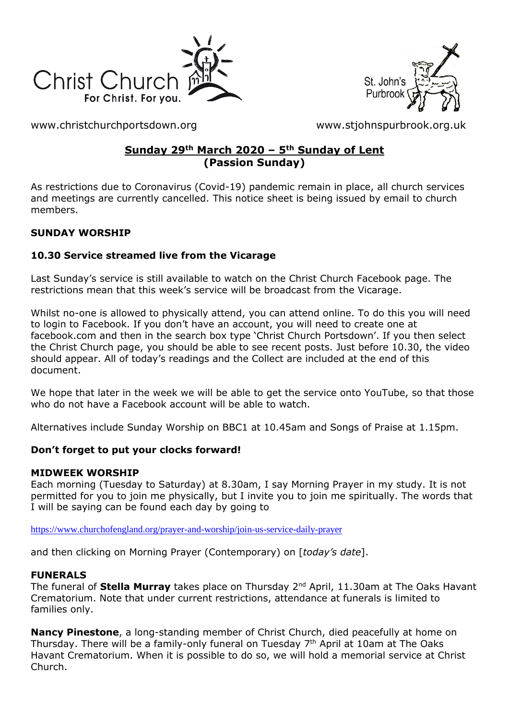



[www.christchurchportsdown.org](http://www.christchurchportsdown.org/) [www.stjohnspurbrook.org.uk](http://www.stjohnspurbrook.org.uk/)

### **Sunday 29th March 2020 – 5th Sunday of Lent (Passion Sunday)**

As restrictions due to Coronavirus (Covid-19) pandemic remain in place, all church services and meetings are currently cancelled. This notice sheet is being issued by email to church members.

### **SUNDAY WORSHIP**

#### **10.30 Service streamed live from the Vicarage**

Last Sunday's service is still available to watch on the Christ Church Facebook page. The restrictions mean that this week's service will be broadcast from the Vicarage.

Whilst no-one is allowed to physically attend, you can attend online. To do this you will need to login to Facebook. If you don't have an account, you will need to create one at facebook.com and then in the search box type 'Christ Church Portsdown'. If you then select the Christ Church page, you should be able to see recent posts. Just before 10.30, the video should appear. All of today's readings and the Collect are included at the end of this document.

We hope that later in the week we will be able to get the service onto YouTube, so that those who do not have a Facebook account will be able to watch.

Alternatives include Sunday Worship on BBC1 at 10.45am and Songs of Praise at 1.15pm.

#### **Don't forget to put your clocks forward!**

#### **MIDWEEK WORSHIP**

Each morning (Tuesday to Saturday) at 8.30am, I say Morning Prayer in my study. It is not permitted for you to join me physically, but I invite you to join me spiritually. The words that I will be saying can be found each day by going to

<https://www.churchofengland.org/prayer-and-worship/join-us-service-daily-prayer>

and then clicking on Morning Prayer (Contemporary) on [*today's date*].

#### **FUNERALS**

The funeral of **Stella Murray** takes place on Thursday 2nd April, 11.30am at The Oaks Havant Crematorium. Note that under current restrictions, attendance at funerals is limited to families only.

**Nancy Pinestone**, a long-standing member of Christ Church, died peacefully at home on Thursday. There will be a family-only funeral on Tuesday  $7<sup>th</sup>$  April at 10am at The Oaks Havant Crematorium. When it is possible to do so, we will hold a memorial service at Christ Church.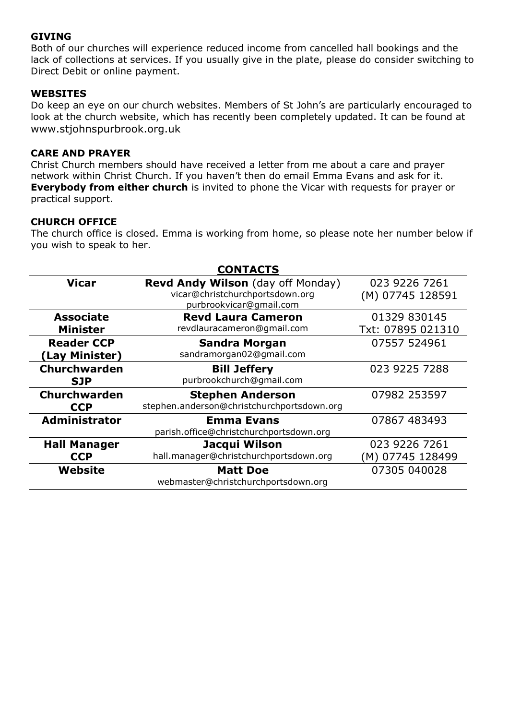#### **GIVING**

Both of our churches will experience reduced income from cancelled hall bookings and the lack of collections at services. If you usually give in the plate, please do consider switching to Direct Debit or online payment.

#### **WEBSITES**

Do keep an eye on our church websites. Members of St John's are particularly encouraged to look at the church website, which has recently been completely updated. It can be found at [www.stjohnspurbrook.org.uk](http://www.stjohnspurbrook.org.uk/)

#### **CARE AND PRAYER**

Christ Church members should have received a letter from me about a care and prayer network within Christ Church. If you haven't then do email Emma Evans and ask for it. **Everybody from either church** is invited to phone the Vicar with requests for prayer or practical support.

#### **CHURCH OFFICE**

The church office is closed. Emma is working from home, so please note her number below if you wish to speak to her.

| <b>CONTACTS</b>                     |                                                                                                 |                                   |
|-------------------------------------|-------------------------------------------------------------------------------------------------|-----------------------------------|
| <b>Vicar</b>                        | Revd Andy Wilson (day off Monday)<br>vicar@christchurchportsdown.org<br>purbrookvicar@gmail.com | 023 9226 7261<br>(M) 07745 128591 |
| <b>Associate</b><br><b>Minister</b> | <b>Revd Laura Cameron</b><br>revdlauracameron@gmail.com                                         | 01329 830145<br>Txt: 07895 021310 |
| <b>Reader CCP</b><br>(Lay Minister) | <b>Sandra Morgan</b><br>sandramorgan02@gmail.com                                                | 07557 524961                      |
| <b>Churchwarden</b><br><b>SJP</b>   | <b>Bill Jeffery</b><br>purbrookchurch@gmail.com                                                 | 023 9225 7288                     |
| <b>Churchwarden</b><br><b>CCP</b>   | <b>Stephen Anderson</b><br>stephen.anderson@christchurchportsdown.org                           | 07982 253597                      |
| <b>Administrator</b>                | <b>Emma Evans</b><br>parish.office@christchurchportsdown.org                                    | 07867 483493                      |
| <b>Hall Manager</b><br><b>CCP</b>   | Jacqui Wilson<br>hall.manager@christchurchportsdown.org                                         | 023 9226 7261<br>(M) 07745 128499 |
| Website                             | <b>Matt Doe</b><br>webmaster@christchurchportsdown.org                                          | 07305 040028                      |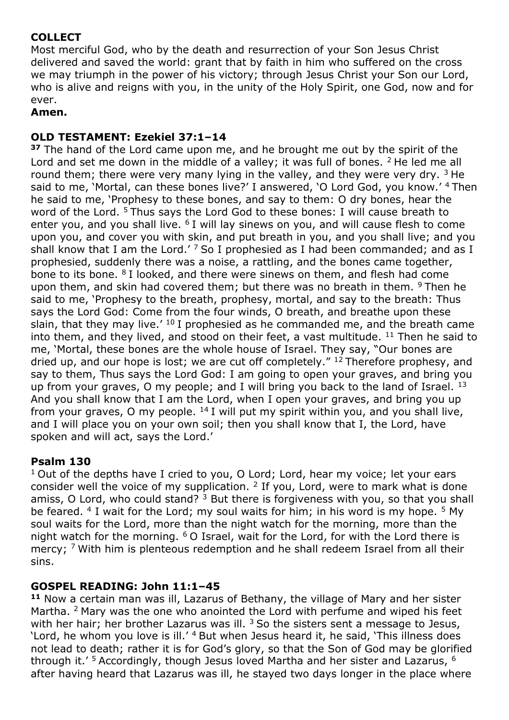# **COLLECT**

Most merciful God, who by the death and resurrection of your Son Jesus Christ delivered and saved the world: grant that by faith in him who suffered on the cross we may triumph in the power of his victory; through Jesus Christ your Son our Lord, who is alive and reigns with you, in the unity of the Holy Spirit, one God, now and for ever.

## **Amen.**

## **OLD TESTAMENT: Ezekiel 37:1–14**

**<sup>37</sup>** The hand of the Lord came upon me, and he brought me out by the spirit of the Lord and set me down in the middle of a valley; it was full of bones.  $2$  He led me all round them; there were very many lying in the valley, and they were very dry.  $3$  He said to me, 'Mortal, can these bones live?' I answered, 'O Lord God, you know.' <sup>4</sup> Then he said to me, 'Prophesy to these bones, and say to them: O dry bones, hear the word of the Lord. <sup>5</sup> Thus says the Lord God to these bones: I will cause breath to enter you, and you shall live.  $6I$  will lay sinews on you, and will cause flesh to come upon you, and cover you with skin, and put breath in you, and you shall live; and you shall know that I am the Lord.' <sup>7</sup> So I prophesied as I had been commanded; and as I prophesied, suddenly there was a noise, a rattling, and the bones came together, bone to its bone. <sup>8</sup> I looked, and there were sinews on them, and flesh had come upon them, and skin had covered them; but there was no breath in them. <sup>9</sup> Then he said to me, 'Prophesy to the breath, prophesy, mortal, and say to the breath: Thus says the Lord God: Come from the four winds, O breath, and breathe upon these slain, that they may live.'  $^{10}$  I prophesied as he commanded me, and the breath came into them, and they lived, and stood on their feet, a vast multitude. <sup>11</sup> Then he said to me, 'Mortal, these bones are the whole house of Israel. They say, "Our bones are dried up, and our hope is lost; we are cut off completely."  $^{12}$  Therefore prophesy, and say to them, Thus says the Lord God: I am going to open your graves, and bring you up from your graves, O my people; and I will bring you back to the land of Israel.  $^{13}$ And you shall know that I am the Lord, when I open your graves, and bring you up from your graves, O my people.  $^{14}$  I will put my spirit within you, and you shall live, and I will place you on your own soil; then you shall know that I, the Lord, have spoken and will act, says the Lord.'

## **Psalm 130**

 $1$  Out of the depths have I cried to you, O Lord; Lord, hear my voice; let your ears consider well the voice of my supplication.  $2$  If you, Lord, were to mark what is done amiss, O Lord, who could stand?  $3$  But there is forgiveness with you, so that you shall be feared. <sup>4</sup> I wait for the Lord; my soul waits for him; in his word is my hope. <sup>5</sup> My soul waits for the Lord, more than the night watch for the morning, more than the night watch for the morning.  $6$  O Israel, wait for the Lord, for with the Lord there is mercy; <sup>7</sup> With him is plenteous redemption and he shall redeem Israel from all their sins.

## **GOSPEL READING: John 11:1–45**

**<sup>11</sup>** Now a certain man was ill, Lazarus of Bethany, the village of Mary and her sister Martha. <sup>2</sup> Mary was the one who anointed the Lord with perfume and wiped his feet with her hair; her brother Lazarus was ill.  $3$  So the sisters sent a message to Jesus, 'Lord, he whom you love is ill.' <sup>4</sup> But when Jesus heard it, he said, 'This illness does not lead to death; rather it is for God's glory, so that the Son of God may be glorified through it.'  $5$  Accordingly, though Jesus loved Martha and her sister and Lazarus,  $6$ after having heard that Lazarus was ill, he stayed two days longer in the place where